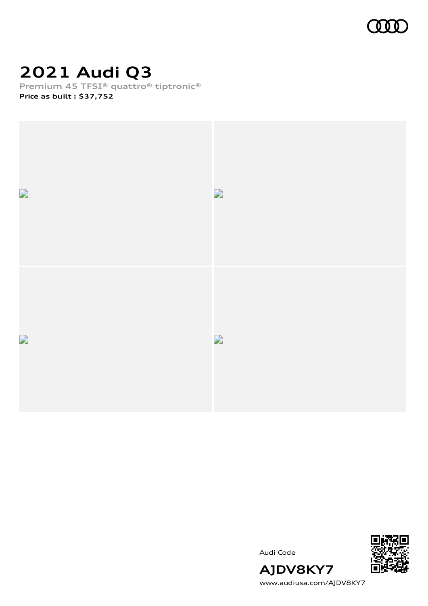

## **2021 Audi Q3**

**Premium 45 TFSI® quattro® tiptronic® Price as built [:](#page-10-0) \$37,752**





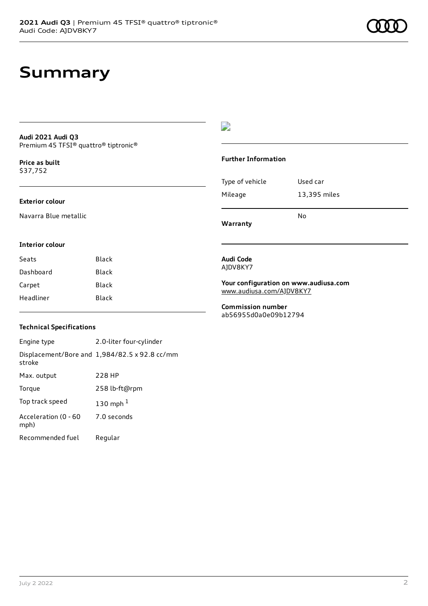### **Summary**

#### **Audi 2021 Audi Q3** Premium 45 TFSI® quattro® tiptronic®

**Price as buil[t](#page-10-0)** \$37,752

#### **Exterior colour**

Navarra Blue metallic

### D

#### **Further Information**

|                 | N٥           |
|-----------------|--------------|
| Mileage         | 13,395 miles |
| Type of vehicle | Used car     |

**Warranty**

### **Interior colour**

| Seats     | Black |
|-----------|-------|
| Dashboard | Black |
| Carpet    | Black |
| Headliner | Black |
|           |       |

#### **Audi Code** AJDV8KY7

**Your configuration on www.audiusa.com** [www.audiusa.com/AJDV8KY7](https://www.audiusa.com/AJDV8KY7)

**Commission number** ab56955d0a0e09b12794

### **Technical Specifications**

Engine type 2.0-liter four-cylinder Displacement/Bore and 1,984/82.5 x 92.8 cc/mm stroke Max. output 228 HP Torque 258 lb-ft@rpm Top track speed [1](#page-10-0)30 mph $<sup>1</sup>$ </sup> Acceleration (0 - 60 mph) 7.0 seconds Recommended fuel Regular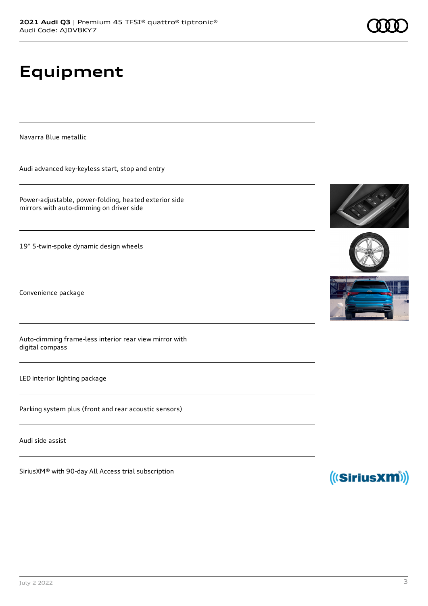# **Equipment**

Navarra Blue metallic

Audi advanced key-keyless start, stop and entry

Power-adjustable, power-folding, heated exterior side mirrors with auto-dimming on driver side

19" 5-twin-spoke dynamic design wheels

Convenience package

Auto-dimming frame-less interior rear view mirror with digital compass

LED interior lighting package

Parking system plus (front and rear acoustic sensors)

Audi side assist

SiriusXM® with 90-day All Access trial subscription







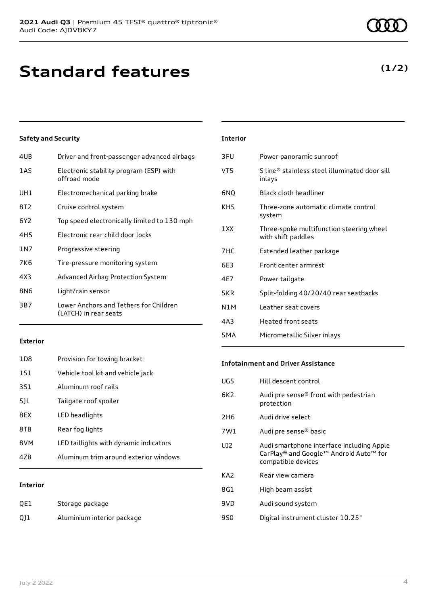### **Standard features**

### **Safety and Security**

| 4UB   | Driver and front-passenger advanced airbags                     |
|-------|-----------------------------------------------------------------|
| 1AS   | Electronic stability program (ESP) with<br>offroad mode         |
| UH1   | Electromechanical parking brake                                 |
| 8T2   | Cruise control system                                           |
| 6Y2   | Top speed electronically limited to 130 mph                     |
| 4H5   | Electronic rear child door locks                                |
| 1 N 7 | Progressive steering                                            |
| 7K6   | Tire-pressure monitoring system                                 |
| 4X3   | Advanced Airbag Protection System                               |
| 8N6   | Light/rain sensor                                               |
| 3B7   | Lower Anchors and Tethers for Children<br>(LATCH) in rear seats |
|       |                                                                 |

| <b>Interior</b>  |                                                                |
|------------------|----------------------------------------------------------------|
| 3FU              | Power panoramic sunroof                                        |
| VT5              | S line® stainless steel illuminated door sill<br>inlays        |
| 6NQ              | <b>Black cloth headliner</b>                                   |
| KH5              | Three-zone automatic climate control<br>system                 |
| 1 XX             | Three-spoke multifunction steering wheel<br>with shift paddles |
| 7HC              | Extended leather package                                       |
| 6F3              | Front center armrest                                           |
| 4E7              | Power tailgate                                                 |
| 5KR              | Split-folding 40/20/40 rear seatbacks                          |
| N1M              | Leather seat covers                                            |
| 4A3              | Heated front seats                                             |
| 5 <sub>M</sub> A | Micrometallic Silver inlays                                    |

#### **Exterior**

| 47B             | Aluminum trim around exterior windows  |
|-----------------|----------------------------------------|
| 8VM             | LED taillights with dynamic indicators |
| 8TB             | Rear fog lights                        |
| 8FX             | LED headlights                         |
| 511             | Tailgate roof spoiler                  |
| 3S1             | Aluminum roof rails                    |
| 1S1             | Vehicle tool kit and vehicle jack      |
| 1D <sub>8</sub> | Provision for towing bracket           |

### **Interior**

| QE1 | Storage package            |
|-----|----------------------------|
| Q11 | Aluminium interior package |

#### **Infotainment and Driver Assistance**

| UG5             | Hill descent control                                                                                      |
|-----------------|-----------------------------------------------------------------------------------------------------------|
| 6K2             | Audi pre sense® front with pedestrian<br>protection                                                       |
| 2H <sub>6</sub> | Audi drive select                                                                                         |
| 7W1             | Audi pre sense® basic                                                                                     |
| UI <sub>2</sub> | Audi smartphone interface including Apple<br>CarPlay® and Google™ Android Auto™ for<br>compatible devices |
| KA <sub>2</sub> | Rear view camera                                                                                          |
| 8G1             | High beam assist                                                                                          |
| 9VD             | Audi sound system                                                                                         |
| 9S0             | Digital instrument cluster 10.25"                                                                         |

### **(1/2)**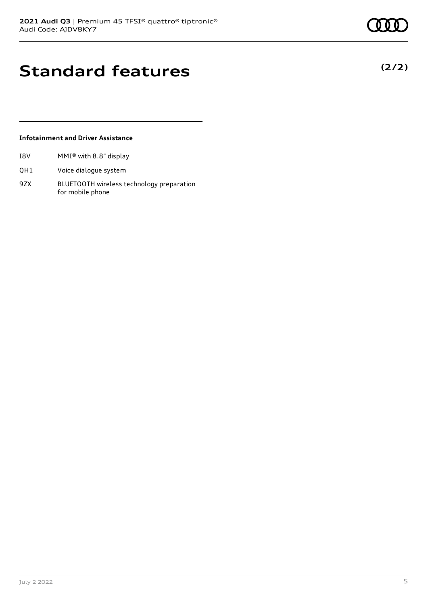### **Standard features**

### **Infotainment and Driver Assistance**

- I8V MMI® with 8.8" display
- QH1 Voice dialogue system
- 9ZX BLUETOOTH wireless technology preparation for mobile phone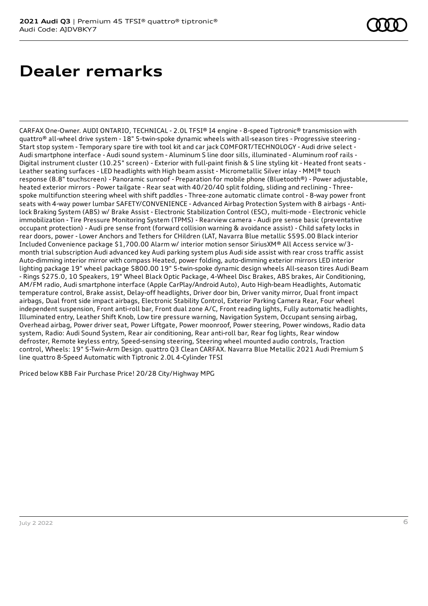### **Dealer remarks**

CARFAX One-Owner. AUDI ONTARIO, TECHNICAL - 2.0L TFSI® I4 engine - 8-speed Tiptronic® transmission with quattro® all-wheel drive system - 18" 5-twin-spoke dynamic wheels with all-season tires - Progressive steering - Start stop system - Temporary spare tire with tool kit and car jack COMFORT/TECHNOLOGY - Audi drive select - Audi smartphone interface - Audi sound system - Aluminum S line door sills, illuminated - Aluminum roof rails - Digital instrument cluster (10.25" screen) - Exterior with full-paint finish & S line styling kit - Heated front seats - Leather seating surfaces - LED headlights with High beam assist - Micrometallic Silver inlay - MMI® touch response (8.8" touchscreen) - Panoramic sunroof - Preparation for mobile phone (Bluetooth®) - Power adjustable, heated exterior mirrors - Power tailgate - Rear seat with 40/20/40 split folding, sliding and reclining - Threespoke multifunction steering wheel with shift paddles - Three-zone automatic climate control - 8-way power front seats with 4-way power lumbar SAFETY/CONVENIENCE - Advanced Airbag Protection System with 8 airbags - Antilock Braking System (ABS) w/ Brake Assist - Electronic Stabilization Control (ESC), multi-mode - Electronic vehicle immobilization - Tire Pressure Monitoring System (TPMS) - Rearview camera - Audi pre sense basic (preventative occupant protection) - Audi pre sense front (forward collision warning & avoidance assist) - Child safety locks in rear doors, power - Lower Anchors and Tethers for CHildren (LAT, Navarra Blue metallic \$595.00 Black interior Included Convenience package \$1,700.00 Alarm w/ interior motion sensor SiriusXM® All Access service w/3 month trial subscription Audi advanced key Audi parking system plus Audi side assist with rear cross traffic assist Auto-dimming interior mirror with compass Heated, power folding, auto-dimming exterior mirrors LED interior lighting package 19" wheel package \$800.00 19" 5-twin-spoke dynamic design wheels All-season tires Audi Beam - Rings \$275.0, 10 Speakers, 19" Wheel Black Optic Package, 4-Wheel Disc Brakes, ABS brakes, Air Conditioning, AM/FM radio, Audi smartphone interface (Apple CarPlay/Android Auto), Auto High-beam Headlights, Automatic temperature control, Brake assist, Delay-off headlights, Driver door bin, Driver vanity mirror, Dual front impact airbags, Dual front side impact airbags, Electronic Stability Control, Exterior Parking Camera Rear, Four wheel independent suspension, Front anti-roll bar, Front dual zone A/C, Front reading lights, Fully automatic headlights, Illuminated entry, Leather Shift Knob, Low tire pressure warning, Navigation System, Occupant sensing airbag, Overhead airbag, Power driver seat, Power Liftgate, Power moonroof, Power steering, Power windows, Radio data system, Radio: Audi Sound System, Rear air conditioning, Rear anti-roll bar, Rear fog lights, Rear window defroster, Remote keyless entry, Speed-sensing steering, Steering wheel mounted audio controls, Traction control, Wheels: 19" 5-Twin-Arm Design. quattro Q3 Clean CARFAX. Navarra Blue Metallic 2021 Audi Premium S line quattro 8-Speed Automatic with Tiptronic 2.0L 4-Cylinder TFSI

Priced below KBB Fair Purchase Price! 20/28 City/Highway MPG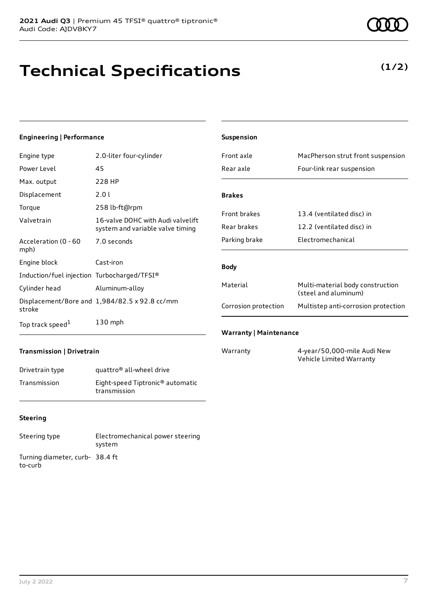# **Technical Specifications**

### **Engineering | Performance**

| Engine type                                 | 2.0-liter four-cylinder                                               |
|---------------------------------------------|-----------------------------------------------------------------------|
| Power Level                                 | 45                                                                    |
| Max. output                                 | 228 HP                                                                |
| Displacement                                | 2.0 L                                                                 |
| Torque                                      | 258 lb-ft@rpm                                                         |
| Valvetrain                                  | 16-valve DOHC with Audi valvelift<br>system and variable valve timing |
| Acceleration (0 - 60<br>mph)                | 7.0 seconds                                                           |
| Engine block                                | Cast-iron                                                             |
| Induction/fuel injection Turbocharged/TFSI® |                                                                       |
| Cylinder head                               | Aluminum-alloy                                                        |
| stroke                                      | Displacement/Bore and 1,984/82.5 x 92.8 cc/mm                         |
| Top track speed <sup>1</sup>                | 130 mph                                                               |

| <b>Suspension</b>             |                                                          |
|-------------------------------|----------------------------------------------------------|
| Front axle                    | MacPherson strut front suspension                        |
| Rear axle                     | Four-link rear suspension                                |
|                               |                                                          |
| <b>Brakes</b>                 |                                                          |
| <b>Front brakes</b>           | 13.4 (ventilated disc) in                                |
| Rear brakes                   | 12.2 (ventilated disc) in                                |
| Parking brake                 | Electromechanical                                        |
| <b>Body</b>                   |                                                          |
| Material                      | Multi-material body construction<br>(steel and aluminum) |
| Corrosion protection          | Multistep anti-corrosion protection                      |
| <b>Warranty   Maintenance</b> |                                                          |

#### **Transmission | Drivetrain**

| Drivetrain type | quattro <sup>®</sup> all-wheel drive                         |
|-----------------|--------------------------------------------------------------|
| Transmission    | Eight-speed Tiptronic <sup>®</sup> automatic<br>transmission |

#### **Steering**

| Steering type                             | Electromechanical power steering<br>system |
|-------------------------------------------|--------------------------------------------|
| Turning diameter, curb-38.4 ft<br>to-curb |                                            |

Warranty 4-year/50,000-mile Audi New Vehicle Limited Warranty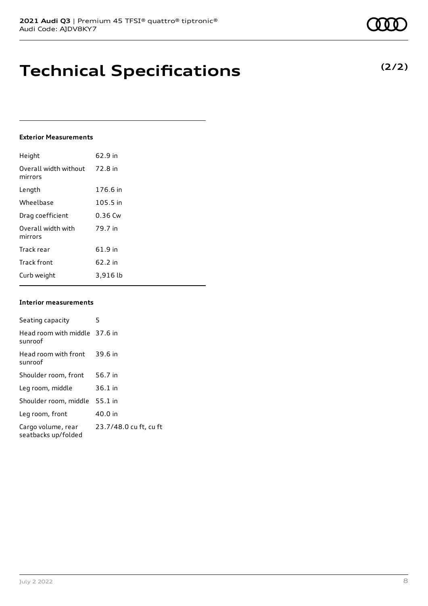### **Technical Specifications**

#### **Exterior Measurements**

| Height                           | 62.9 in   |
|----------------------------------|-----------|
| Overall width without<br>mirrors | 72.8 in   |
| Length                           | 176.6 in  |
| Wheelbase                        | 105.5 in  |
| Drag coefficient                 | $0.36$ Cw |
| Overall width with<br>mirrors    | 79.7 in   |
| Track rear                       | 61.9 in   |
| <b>Track front</b>               | 62.2 in   |
| Curb weight                      | 3,916 lb  |

#### **Interior measurements**

| Seating capacity                          | 5                      |
|-------------------------------------------|------------------------|
| Head room with middle 37.6 in<br>sunroof  |                        |
| Head room with front<br>sunroof           | 39.6 in                |
| Shoulder room, front                      | 56.7 in                |
| Leg room, middle                          | $36.1$ in              |
| Shoulder room, middle                     | $55.1$ in              |
| Leg room, front                           | 40.0 in                |
| Cargo volume, rear<br>seatbacks up/folded | 23.7/48.0 cu ft, cu ft |

**(2/2)**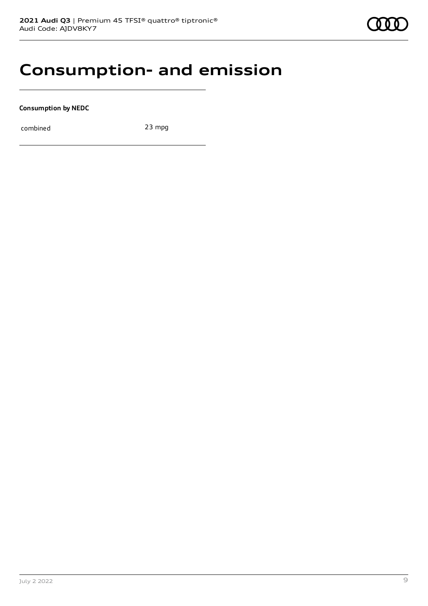### **Consumption- and emission**

**Consumption by NEDC**

combined 23 mpg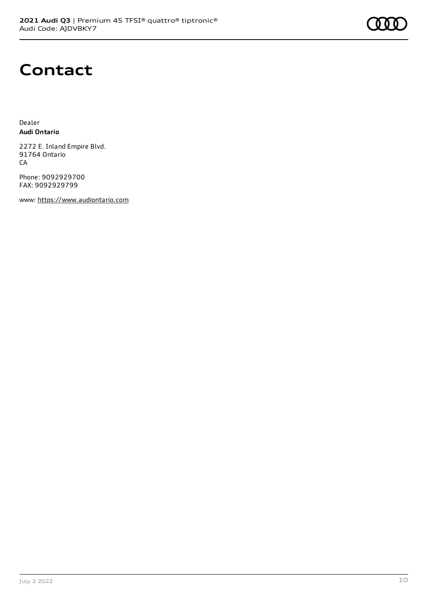

### **Contact**

Dealer **Audi Ontario**

2272 E. Inland Empire Blvd. 91764 Ontario CA

Phone: 9092929700 FAX: 9092929799

www: [https://www.audiontario.com](https://www.audiontario.com/)